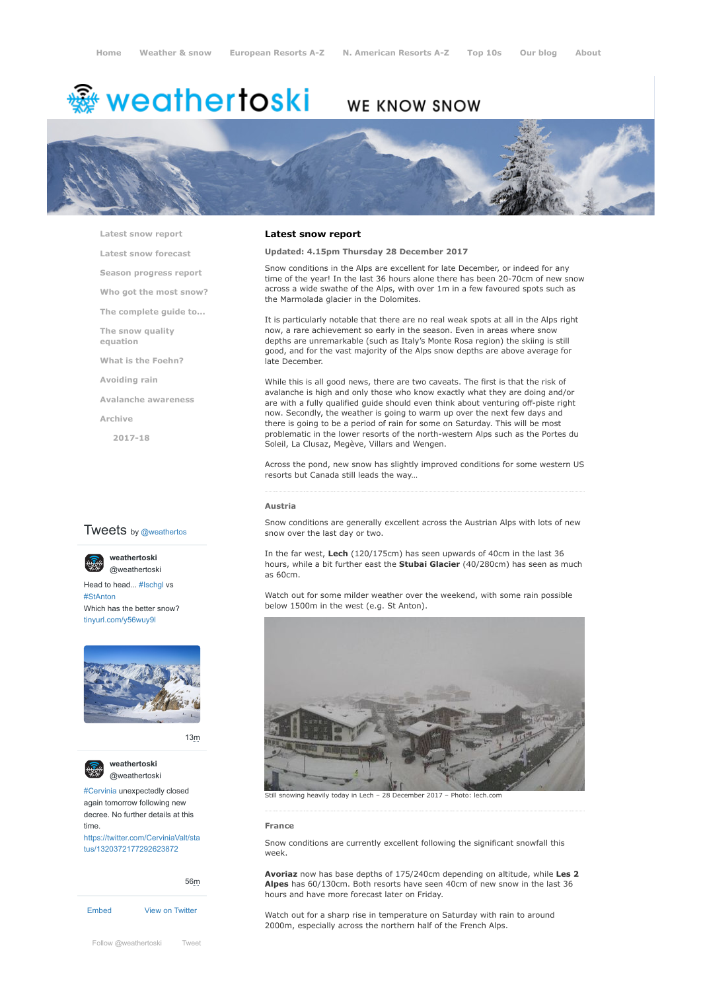# <del>▒</del> weathertoski

# WE KNOW SNOW



**[Latest snow report](https://www.weathertoski.co.uk/weather-snow/latest-snow-report/)**

**[Latest snow forecast](https://www.weathertoski.co.uk/weather-snow/latest-snow-forecast/)**

**[Season progress report](https://www.weathertoski.co.uk/weather-snow/season-progress-report/)**

**[Who got the most snow?](https://www.weathertoski.co.uk/weather-snow/who-got-the-most-snow/)**

**[The complete guide to...](https://www.weathertoski.co.uk/weather-snow/the-complete-guide-to/)**

**[The snow quality](https://www.weathertoski.co.uk/weather-snow/the-snow-quality-equation/) equation**

**[What is the Foehn?](https://www.weathertoski.co.uk/weather-snow/what-is-the-foehn/)**

**[Avoiding rain](https://www.weathertoski.co.uk/weather-snow/avoiding-rain/)**

**[Avalanche awareness](https://www.weathertoski.co.uk/weather-snow/avalanche-awareness/)**

**[Archive](https://www.weathertoski.co.uk/weather-snow/archive/)**

**[2017-18](https://www.weathertoski.co.uk/weather-snow/archive/2017-18/)**

# **Tweets** by @weathertos

**weathertoski**



Head to head... [#Ischgl](https://twitter.com/hashtag/Ischgl?src=hash) vs [#StAnton](https://twitter.com/hashtag/StAnton?src=hash) Which has the better snow? [tinyurl.com/y56wuy9l](https://t.co/AeKkyB0N9S)



[13m](https://twitter.com/weathertoski/status/1320387692862050304)



**weathertoski** [@weathertoski](https://twitter.com/weathertoski)

[#Cervinia](https://twitter.com/hashtag/Cervinia?src=hash) unexpectedly closed again tomorrow following new decree. No further details at this time. [https://twitter.com/CerviniaValt/sta](https://twitter.com/CerviniaValt/status/1320372177292623872)

tus/1320372177292623872

[Embed](https://publish.twitter.com/?url=https%3A%2F%2Ftwitter.com%2Fweathertoski) [View on Twitter](https://twitter.com/weathertoski) [56m](https://twitter.com/weathertoski/status/1320376647305093126)

[Follow @weathertoski](https://twitter.com/intent/follow?original_referer=https%3A%2F%2Fwww.weathertoski.co.uk%2F&ref_src=twsrc%5Etfw®ion=follow_link&screen_name=weathertoski&tw_p=followbutton) [Tweet](https://twitter.com/intent/tweet?original_referer=https%3A%2F%2Fwww.weathertoski.co.uk%2F&ref_src=twsrc%5Etfw&text=Weather%20to%20ski%20-%20Snow%20report%20-%2028%20December%202017&tw_p=tweetbutton&url=https%3A%2F%2Fwww.weathertoski.co.uk%2Fweather-snow%2Farchive%2Fsnow-report-28-december-2017%2F)

### **Latest snow report**

**Updated: 4.15pm Thursday 28 December 2017**

Snow conditions in the Alps are excellent for late December, or indeed for any time of the year! In the last 36 hours alone there has been 20-70cm of new snow across a wide swathe of the Alps, with over 1m in a few favoured spots such as the Marmolada glacier in the Dolomites.

It is particularly notable that there are no real weak spots at all in the Alps right now, a rare achievement so early in the season. Even in areas where snow depths are unremarkable (such as Italy's Monte Rosa region) the skiing is still good, and for the vast majority of the Alps snow depths are above average for late December.

While this is all good news, there are two caveats. The first is that the risk of avalanche is high and only those who know exactly what they are doing and/or are with a fully qualified guide should even think about venturing off-piste right now. Secondly, the weather is going to warm up over the next few days and there is going to be a period of rain for some on Saturday. This will be most problematic in the lower resorts of the north-western Alps such as the Portes du Soleil, La Clusaz, Megève, Villars and Wengen.

Across the pond, new snow has slightly improved conditions for some western US resorts but Canada still leads the way…

#### **Austria**

Snow conditions are generally excellent across the Austrian Alps with lots of new snow over the last day or two.

In the far west, **Lech** (120/175cm) has seen upwards of 40cm in the last 36 hours, while a bit further east the **Stubai Glacier** (40/280cm) has seen as much as 60cm.

Watch out for some milder weather over the weekend, with some rain possible below 1500m in the west (e.g. St Anton).



Still snowing heavily today in Lech – 28 December 2017 – Photo: lech.com

### **France**

Snow conditions are currently excellent following the significant snowfall this week.

**Avoriaz** now has base depths of 175/240cm depending on altitude, while **Les 2 Alpes** has 60/130cm. Both resorts have seen 40cm of new snow in the last 36 hours and have more forecast later on Friday.

Watch out for a sharp rise in temperature on Saturday with rain to around 2000m, especially across the northern half of the French Alps.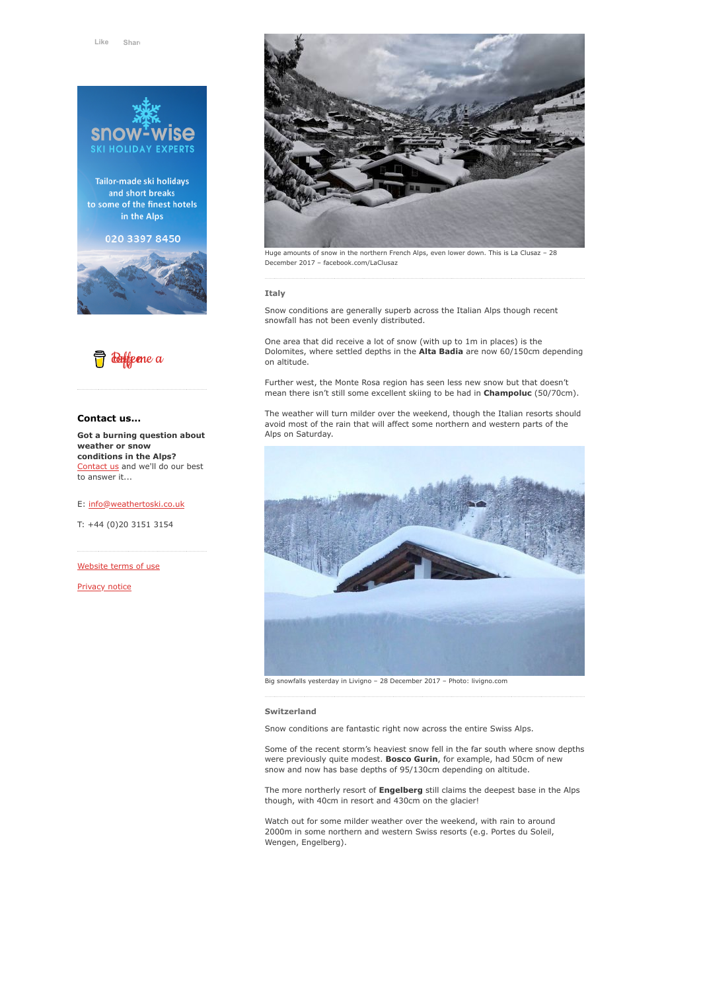

Tailor-made ski holidays and short breaks to some of the finest hotels in the Alps

# 020 3397 8450





# **Contact us...**

**Got a burning question about weather or snow conditions in the Alps?** [Contact us](https://www.weathertoski.co.uk/about-1/contact-us/) and we'll do our best to answer it...

#### E: [info@weathertoski.co.uk](mailto:fraser@weathertoski.co.uk)

T: +44 (0)20 3151 3154

[Website terms of use](https://www.weathertoski.co.uk/about-1/website-terms-of-use/)

[Privacy notice](https://www.weathertoski.co.uk/about-1/privacy-notice/)



Huge amounts of snow in the northern French Alps, even lower down. This is La Clusaz – 28 December 2017 – facebook.com/LaClusaz

# **Italy**

Snow conditions are generally superb across the Italian Alps though recent snowfall has not been evenly distributed.

One area that did receive a lot of snow (with up to 1m in places) is the Dolomites, where settled depths in the **Alta Badia** are now 60/150cm depending on altitude.

Further west, the Monte Rosa region has seen less new snow but that doesn't mean there isn't still some excellent skiing to be had in **Champoluc** (50/70cm).

The weather will turn milder over the weekend, though the Italian resorts should avoid most of the rain that will affect some northern and western parts of the Alps on Saturday.



#### **Switzerland**

Snow conditions are fantastic right now across the entire Swiss Alps.

Some of the recent storm's heaviest snow fell in the far south where snow depths were previously quite modest. **Bosco Gurin**, for example, had 50cm of new snow and now has base depths of 95/130cm depending on altitude.

The more northerly resort of **Engelberg** still claims the deepest base in the Alps though, with 40cm in resort and 430cm on the glacier!

Watch out for some milder weather over the weekend, with rain to around 2000m in some northern and western Swiss resorts (e.g. Portes du Soleil, Wengen, Engelberg).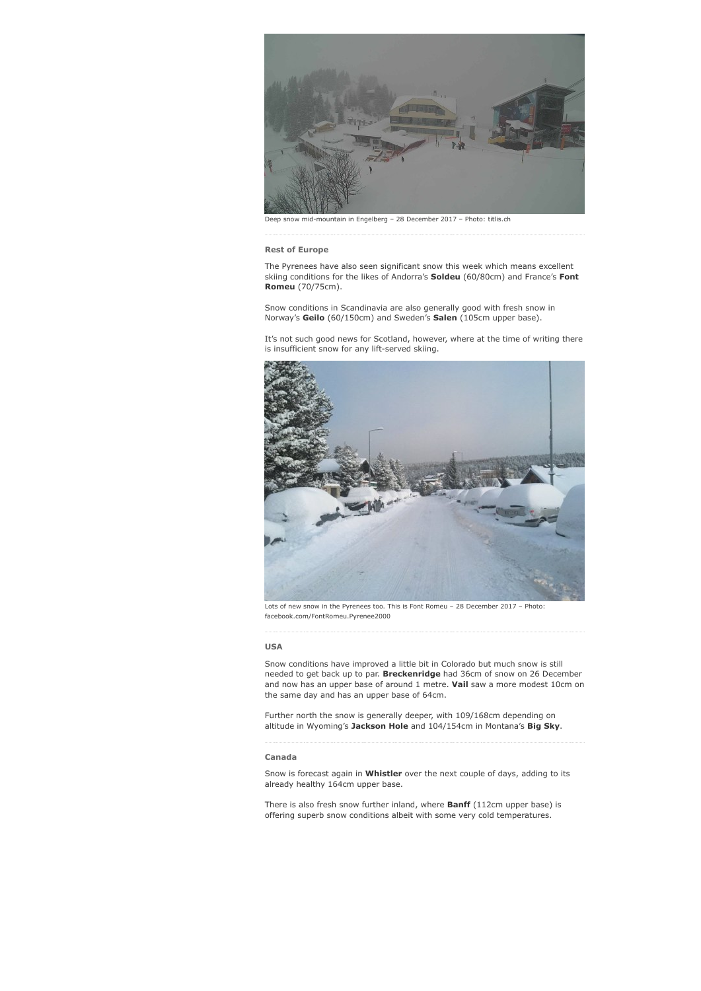

Deep snow mid-mountain in Engelberg – 28 December 2017 – Photo: titlis.ch

### **Rest of Europe**

The Pyrenees have also seen significant snow this week which means excellent skiing conditions for the likes of Andorra's **Soldeu** (60/80cm) and France's **Font Romeu** (70/75cm).

Snow conditions in Scandinavia are also generally good with fresh snow in Norway's **Geilo** (60/150cm) and Sweden's **Salen** (105cm upper base).

It's not such good news for Scotland, however, where at the time of writing there is insufficient snow for any lift-served skiing.



Lots of new snow in the Pyrenees too. This is Font Romeu – 28 December 2017 – Photo: facebook.com/FontRomeu.Pyrenee2000

#### **USA**

Snow conditions have improved a little bit in Colorado but much snow is still needed to get back up to par. **Breckenridge** had 36cm of snow on 26 December and now has an upper base of around 1 metre. **Vail** saw a more modest 10cm on the same day and has an upper base of 64cm.

Further north the snow is generally deeper, with 109/168cm depending on altitude in Wyoming's **Jackson Hole** and 104/154cm in Montana's **Big Sky**.

#### **Canada**

Snow is forecast again in **Whistler** over the next couple of days, adding to its already healthy 164cm upper base.

There is also fresh snow further inland, where **Banff** (112cm upper base) is offering superb snow conditions albeit with some very cold temperatures.